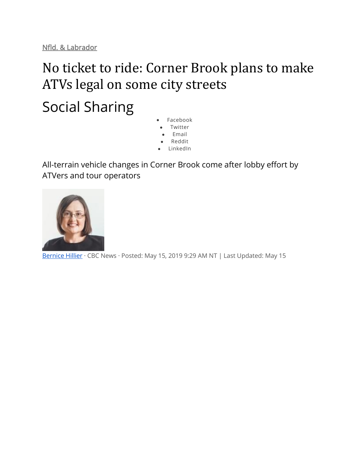[Nfld. & Labrador](https://www.cbc.ca/news/canada/newfoundland-labrador)

# No ticket to ride: Corner Brook plans to make ATVs legal on some city streets Social Sharing

- Facebook
- **Twitter**
- Email
- Reddit
- LinkedIn

All-terrain vehicle changes in Corner Brook come after lobby effort by ATVers and tour operators



[Bernice Hillier](https://www.cbc.ca/news/canada/newfoundland-labrador/bernice-hillier-1.3678915) · CBC News · Posted: May 15, 2019 9:29 AM NT | Last Updated: May 15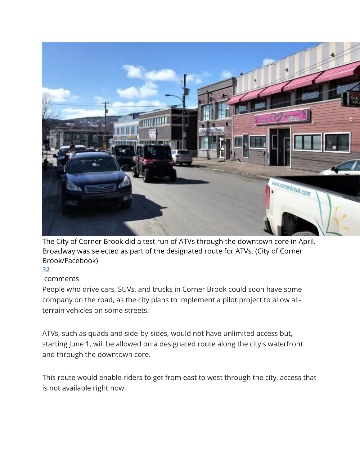

The City of Corner Brook did a test run of ATVs through the downtown core in April. Broadway was selected as part of the designated route for ATVs. (City of Corner Brook/Facebook)

#### 32

#### comments

People who drive cars, SUVs, and trucks in Corner Brook could soon have some company on the road, as the city plans to implement a pilot project to allow allterrain vehicles on some streets.

ATVs, such as quads and side-by-sides, would not have unlimited access but, starting June 1, will be allowed on a designated route along the city's waterfront and through the downtown core.

This route would enable riders to get from east to west through the city, access that is not available right now.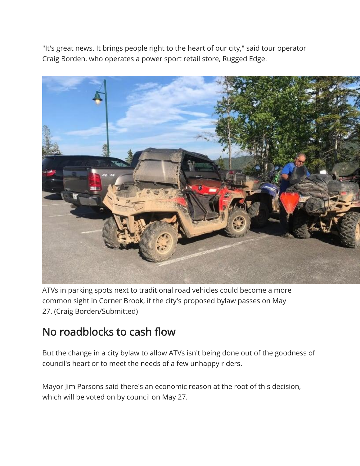"It's great news. It brings people right to the heart of our city," said tour operator Craig Borden, who operates a power sport retail store, Rugged Edge.



ATVs in parking spots next to traditional road vehicles could become a more common sight in Corner Brook, if the city's proposed bylaw passes on May 27. (Craig Borden/Submitted)

### No roadblocks to cash flow

But the change in a city bylaw to allow ATVs isn't being done out of the goodness of council's heart or to meet the needs of a few unhappy riders.

Mayor Jim Parsons said there's an economic reason at the root of this decision, which will be voted on by council on May 27.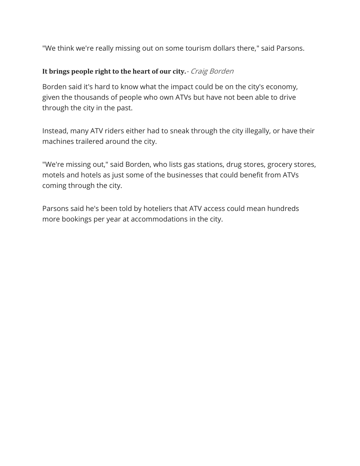"We think we're really missing out on some tourism dollars there," said Parsons.

#### **It brings people right to the heart of our city.**- Craig Borden

Borden said it's hard to know what the impact could be on the city's economy, given the thousands of people who own ATVs but have not been able to drive through the city in the past.

Instead, many ATV riders either had to sneak through the city illegally, or have their machines trailered around the city.

"We're missing out," said Borden, who lists gas stations, drug stores, grocery stores, motels and hotels as just some of the businesses that could benefit from ATVs coming through the city.

Parsons said he's been told by hoteliers that ATV access could mean hundreds more bookings per year at accommodations in the city.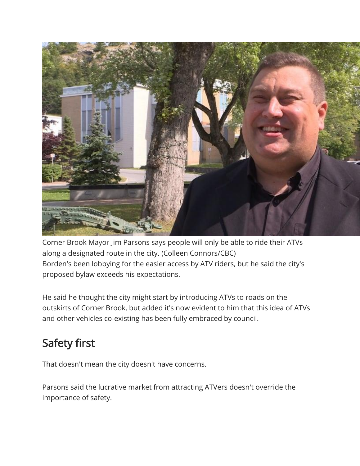

Corner Brook Mayor Jim Parsons says people will only be able to ride their ATVs along a designated route in the city. (Colleen Connors/CBC) Borden's been lobbying for the easier access by ATV riders, but he said the city's proposed bylaw exceeds his expectations.

He said he thought the city might start by introducing ATVs to roads on the outskirts of Corner Brook, but added it's now evident to him that this idea of ATVs and other vehicles co-existing has been fully embraced by council.

# Safety first

That doesn't mean the city doesn't have concerns.

Parsons said the lucrative market from attracting ATVers doesn't override the importance of safety.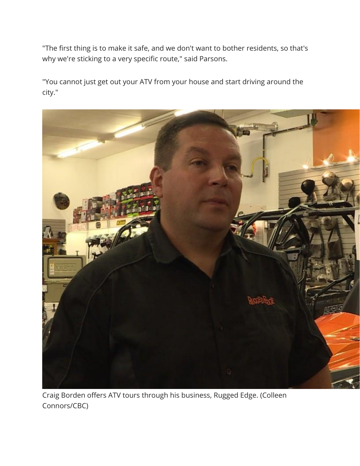"The first thing is to make it safe, and we don't want to bother residents, so that's why we're sticking to a very specific route," said Parsons.

"You cannot just get out your ATV from your house and start driving around the city."



Craig Borden offers ATV tours through his business, Rugged Edge. (Colleen Connors/CBC)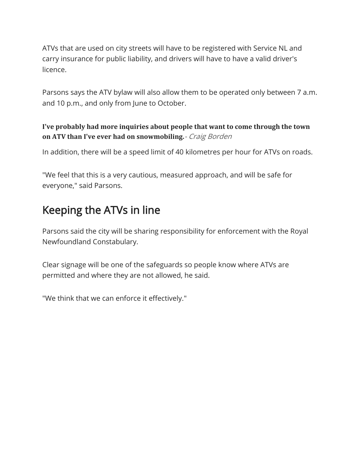ATVs that are used on city streets will have to be registered with Service NL and carry insurance for public liability, and drivers will have to have a valid driver's licence.

Parsons says the ATV bylaw will also allow them to be operated only between 7 a.m. and 10 p.m., and only from June to October.

#### **I've probably had more inquiries about people that want to come through the town on ATV than I've ever had on snowmobiling.**- Craig Borden

In addition, there will be a speed limit of 40 kilometres per hour for ATVs on roads.

"We feel that this is a very cautious, measured approach, and will be safe for everyone," said Parsons.

## Keeping the ATVs in line

Parsons said the city will be sharing responsibility for enforcement with the Royal Newfoundland Constabulary.

Clear signage will be one of the safeguards so people know where ATVs are permitted and where they are not allowed, he said.

"We think that we can enforce it effectively."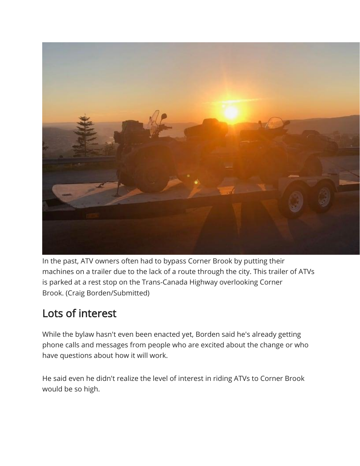

In the past, ATV owners often had to bypass Corner Brook by putting their machines on a trailer due to the lack of a route through the city. This trailer of ATVs is parked at a rest stop on the Trans-Canada Highway overlooking Corner Brook. (Craig Borden/Submitted)

# Lots of interest

While the bylaw hasn't even been enacted yet, Borden said he's already getting phone calls and messages from people who are excited about the change or who have questions about how it will work.

He said even he didn't realize the level of interest in riding ATVs to Corner Brook would be so high.